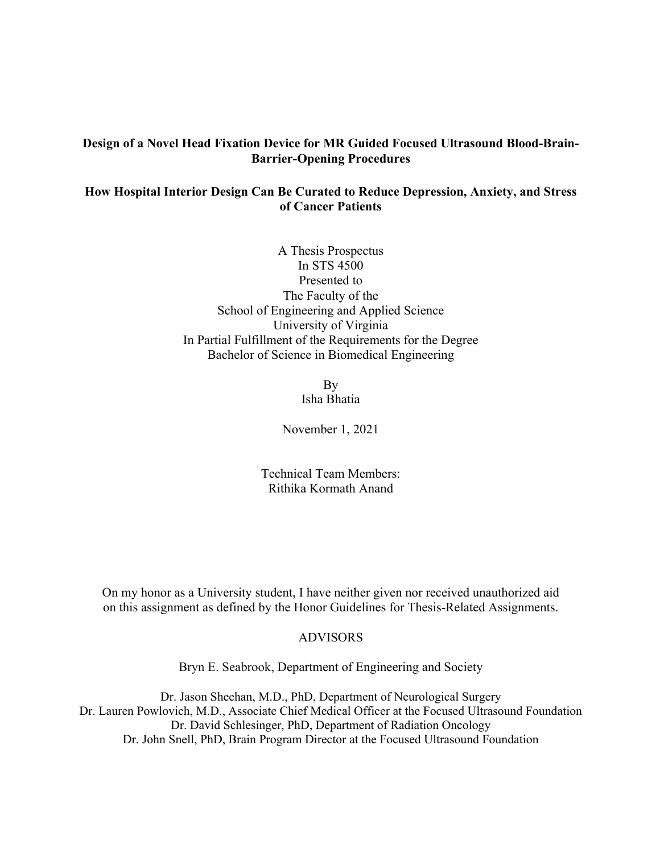# **Design of a Novel Head Fixation Device for MR Guided Focused Ultrasound Blood-Brain-Barrier-Opening Procedures**

# **How Hospital Interior Design Can Be Curated to Reduce Depression, Anxiety, and Stress of Cancer Patients**

A Thesis Prospectus In STS 4500 Presented to The Faculty of the School of Engineering and Applied Science University of Virginia In Partial Fulfillment of the Requirements for the Degree Bachelor of Science in Biomedical Engineering

> By Isha Bhatia

November 1, 2021

Technical Team Members: Rithika Kormath Anand

On my honor as a University student, I have neither given nor received unauthorized aid on this assignment as defined by the Honor Guidelines for Thesis-Related Assignments.

# ADVISORS

Bryn E. Seabrook, Department of Engineering and Society

Dr. Jason Sheehan, M.D., PhD, Department of Neurological Surgery Dr. Lauren Powlovich, M.D., Associate Chief Medical Officer at the Focused Ultrasound Foundation Dr. David Schlesinger, PhD, Department of Radiation Oncology Dr. John Snell, PhD, Brain Program Director at the Focused Ultrasound Foundation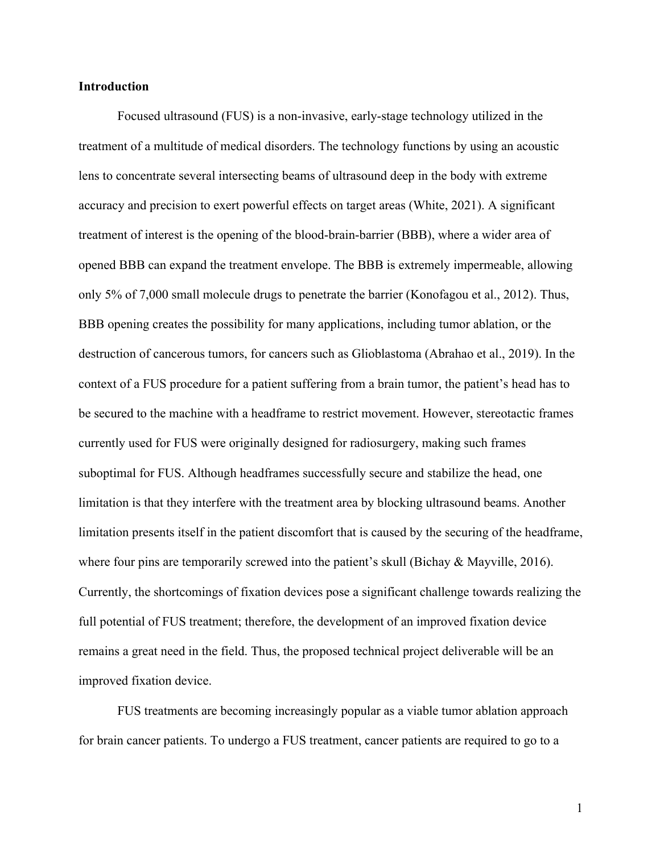## **Introduction**

Focused ultrasound (FUS) is a non-invasive, early-stage technology utilized in the treatment of a multitude of medical disorders. The technology functions by using an acoustic lens to concentrate several intersecting beams of ultrasound deep in the body with extreme accuracy and precision to exert powerful effects on target areas (White, 2021). A significant treatment of interest is the opening of the blood-brain-barrier (BBB), where a wider area of opened BBB can expand the treatment envelope. The BBB is extremely impermeable, allowing only 5% of 7,000 small molecule drugs to penetrate the barrier (Konofagou et al., 2012). Thus, BBB opening creates the possibility for many applications, including tumor ablation, or the destruction of cancerous tumors, for cancers such as Glioblastoma (Abrahao et al., 2019). In the context of a FUS procedure for a patient suffering from a brain tumor, the patient's head has to be secured to the machine with a headframe to restrict movement. However, stereotactic frames currently used for FUS were originally designed for radiosurgery, making such frames suboptimal for FUS. Although headframes successfully secure and stabilize the head, one limitation is that they interfere with the treatment area by blocking ultrasound beams. Another limitation presents itself in the patient discomfort that is caused by the securing of the headframe, where four pins are temporarily screwed into the patient's skull (Bichay & Mayville, 2016). Currently, the shortcomings of fixation devices pose a significant challenge towards realizing the full potential of FUS treatment; therefore, the development of an improved fixation device remains a great need in the field. Thus, the proposed technical project deliverable will be an improved fixation device.

FUS treatments are becoming increasingly popular as a viable tumor ablation approach for brain cancer patients. To undergo a FUS treatment, cancer patients are required to go to a

1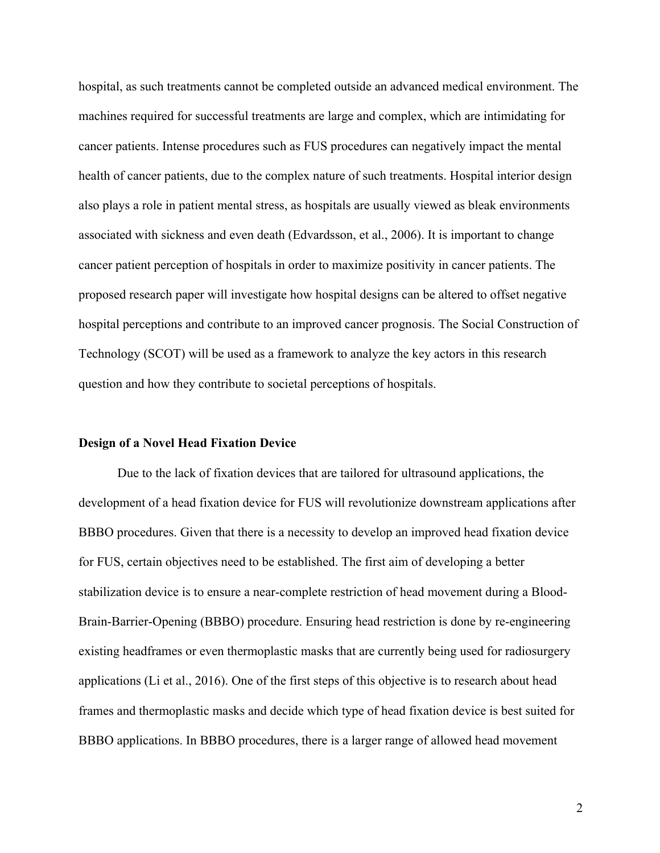hospital, as such treatments cannot be completed outside an advanced medical environment. The machines required for successful treatments are large and complex, which are intimidating for cancer patients. Intense procedures such as FUS procedures can negatively impact the mental health of cancer patients, due to the complex nature of such treatments. Hospital interior design also plays a role in patient mental stress, as hospitals are usually viewed as bleak environments associated with sickness and even death (Edvardsson, et al., 2006). It is important to change cancer patient perception of hospitals in order to maximize positivity in cancer patients. The proposed research paper will investigate how hospital designs can be altered to offset negative hospital perceptions and contribute to an improved cancer prognosis. The Social Construction of Technology (SCOT) will be used as a framework to analyze the key actors in this research question and how they contribute to societal perceptions of hospitals.

## **Design of a Novel Head Fixation Device**

Due to the lack of fixation devices that are tailored for ultrasound applications, the development of a head fixation device for FUS will revolutionize downstream applications after BBBO procedures. Given that there is a necessity to develop an improved head fixation device for FUS, certain objectives need to be established. The first aim of developing a better stabilization device is to ensure a near-complete restriction of head movement during a Blood-Brain-Barrier-Opening (BBBO) procedure. Ensuring head restriction is done by re-engineering existing headframes or even thermoplastic masks that are currently being used for radiosurgery applications (Li et al., 2016). One of the first steps of this objective is to research about head frames and thermoplastic masks and decide which type of head fixation device is best suited for BBBO applications. In BBBO procedures, there is a larger range of allowed head movement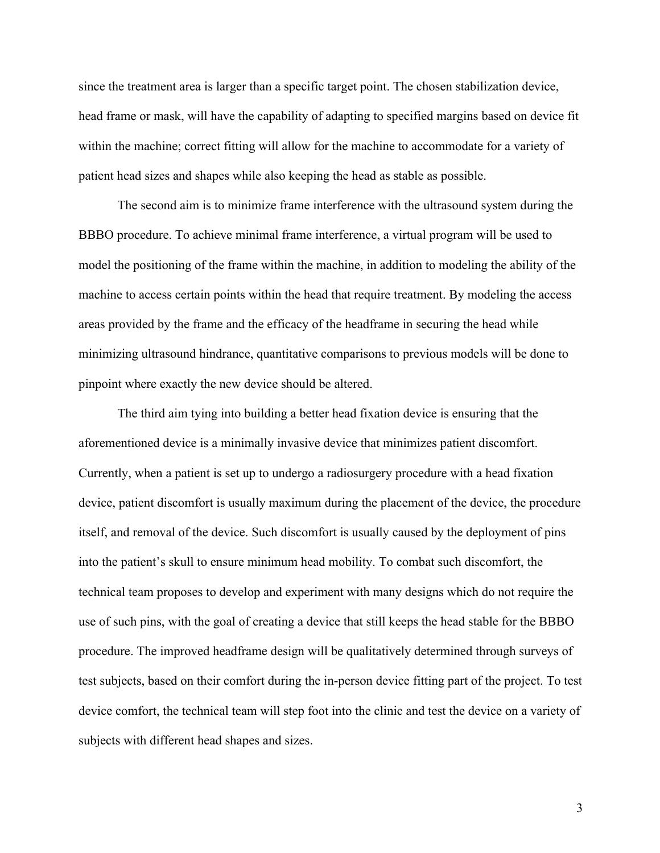since the treatment area is larger than a specific target point. The chosen stabilization device, head frame or mask, will have the capability of adapting to specified margins based on device fit within the machine; correct fitting will allow for the machine to accommodate for a variety of patient head sizes and shapes while also keeping the head as stable as possible.

The second aim is to minimize frame interference with the ultrasound system during the BBBO procedure. To achieve minimal frame interference, a virtual program will be used to model the positioning of the frame within the machine, in addition to modeling the ability of the machine to access certain points within the head that require treatment. By modeling the access areas provided by the frame and the efficacy of the headframe in securing the head while minimizing ultrasound hindrance, quantitative comparisons to previous models will be done to pinpoint where exactly the new device should be altered.

The third aim tying into building a better head fixation device is ensuring that the aforementioned device is a minimally invasive device that minimizes patient discomfort. Currently, when a patient is set up to undergo a radiosurgery procedure with a head fixation device, patient discomfort is usually maximum during the placement of the device, the procedure itself, and removal of the device. Such discomfort is usually caused by the deployment of pins into the patient's skull to ensure minimum head mobility. To combat such discomfort, the technical team proposes to develop and experiment with many designs which do not require the use of such pins, with the goal of creating a device that still keeps the head stable for the BBBO procedure. The improved headframe design will be qualitatively determined through surveys of test subjects, based on their comfort during the in-person device fitting part of the project. To test device comfort, the technical team will step foot into the clinic and test the device on a variety of subjects with different head shapes and sizes.

3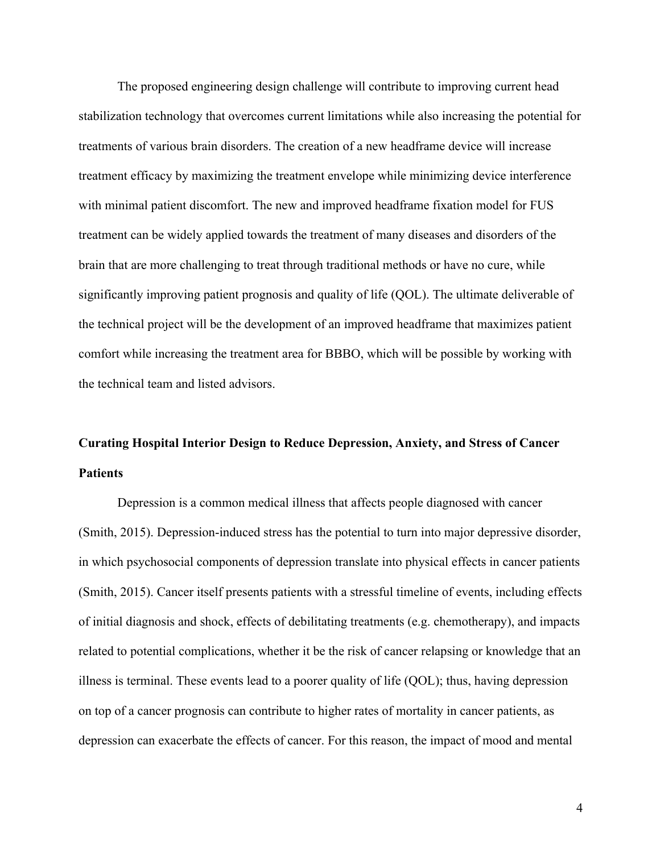The proposed engineering design challenge will contribute to improving current head stabilization technology that overcomes current limitations while also increasing the potential for treatments of various brain disorders. The creation of a new headframe device will increase treatment efficacy by maximizing the treatment envelope while minimizing device interference with minimal patient discomfort. The new and improved headframe fixation model for FUS treatment can be widely applied towards the treatment of many diseases and disorders of the brain that are more challenging to treat through traditional methods or have no cure, while significantly improving patient prognosis and quality of life (QOL). The ultimate deliverable of the technical project will be the development of an improved headframe that maximizes patient comfort while increasing the treatment area for BBBO, which will be possible by working with the technical team and listed advisors.

# **Curating Hospital Interior Design to Reduce Depression, Anxiety, and Stress of Cancer Patients**

Depression is a common medical illness that affects people diagnosed with cancer (Smith, 2015). Depression-induced stress has the potential to turn into major depressive disorder, in which psychosocial components of depression translate into physical effects in cancer patients (Smith, 2015). Cancer itself presents patients with a stressful timeline of events, including effects of initial diagnosis and shock, effects of debilitating treatments (e.g. chemotherapy), and impacts related to potential complications, whether it be the risk of cancer relapsing or knowledge that an illness is terminal. These events lead to a poorer quality of life (QOL); thus, having depression on top of a cancer prognosis can contribute to higher rates of mortality in cancer patients, as depression can exacerbate the effects of cancer. For this reason, the impact of mood and mental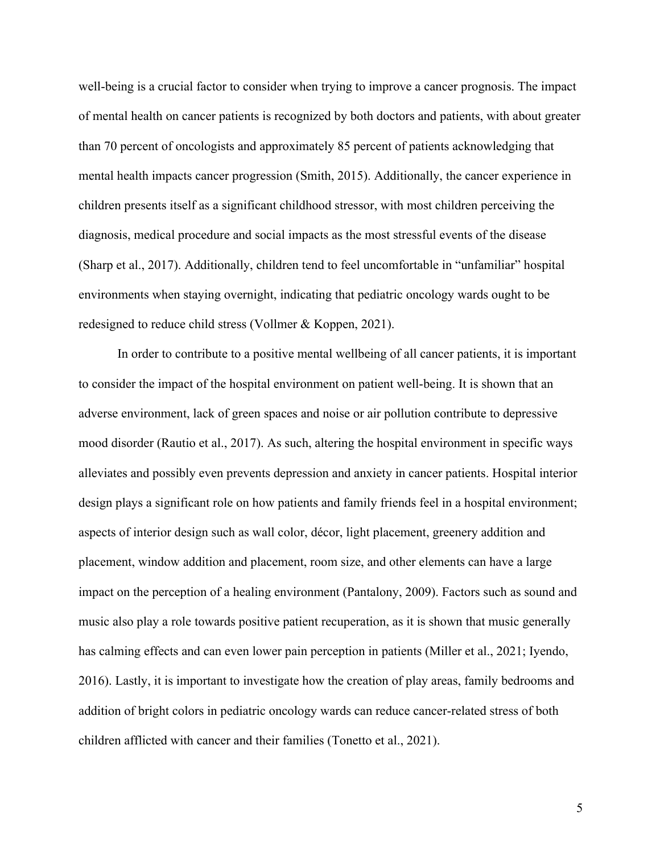well-being is a crucial factor to consider when trying to improve a cancer prognosis. The impact of mental health on cancer patients is recognized by both doctors and patients, with about greater than 70 percent of oncologists and approximately 85 percent of patients acknowledging that mental health impacts cancer progression (Smith, 2015). Additionally, the cancer experience in children presents itself as a significant childhood stressor, with most children perceiving the diagnosis, medical procedure and social impacts as the most stressful events of the disease (Sharp et al., 2017). Additionally, children tend to feel uncomfortable in "unfamiliar" hospital environments when staying overnight, indicating that pediatric oncology wards ought to be redesigned to reduce child stress (Vollmer & Koppen, 2021).

In order to contribute to a positive mental wellbeing of all cancer patients, it is important to consider the impact of the hospital environment on patient well-being. It is shown that an adverse environment, lack of green spaces and noise or air pollution contribute to depressive mood disorder (Rautio et al., 2017). As such, altering the hospital environment in specific ways alleviates and possibly even prevents depression and anxiety in cancer patients. Hospital interior design plays a significant role on how patients and family friends feel in a hospital environment; aspects of interior design such as wall color, décor, light placement, greenery addition and placement, window addition and placement, room size, and other elements can have a large impact on the perception of a healing environment (Pantalony, 2009). Factors such as sound and music also play a role towards positive patient recuperation, as it is shown that music generally has calming effects and can even lower pain perception in patients (Miller et al., 2021; Iyendo, 2016). Lastly, it is important to investigate how the creation of play areas, family bedrooms and addition of bright colors in pediatric oncology wards can reduce cancer-related stress of both children afflicted with cancer and their families (Tonetto et al., 2021).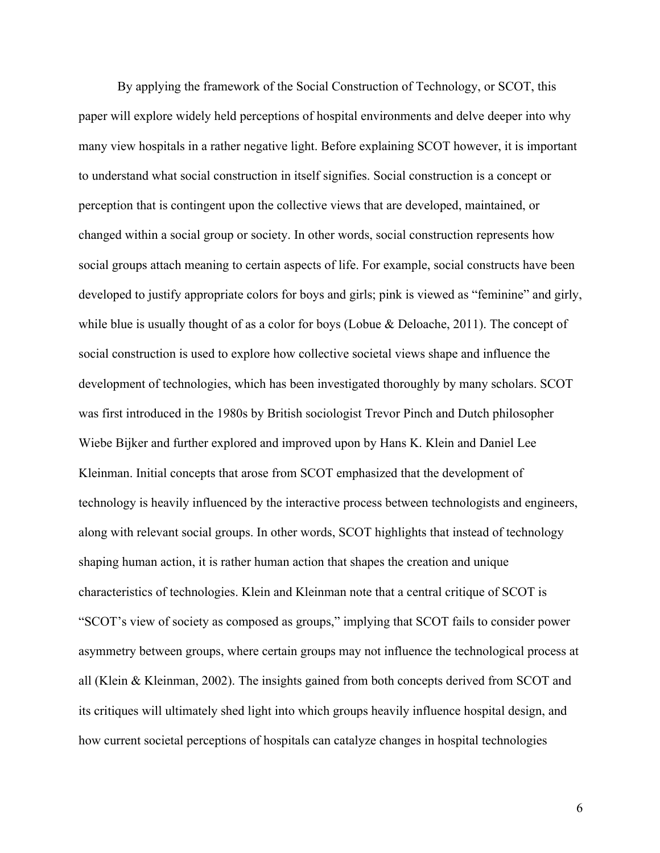By applying the framework of the Social Construction of Technology, or SCOT, this paper will explore widely held perceptions of hospital environments and delve deeper into why many view hospitals in a rather negative light. Before explaining SCOT however, it is important to understand what social construction in itself signifies. Social construction is a concept or perception that is contingent upon the collective views that are developed, maintained, or changed within a social group or society. In other words, social construction represents how social groups attach meaning to certain aspects of life. For example, social constructs have been developed to justify appropriate colors for boys and girls; pink is viewed as "feminine" and girly, while blue is usually thought of as a color for boys (Lobue & Deloache, 2011). The concept of social construction is used to explore how collective societal views shape and influence the development of technologies, which has been investigated thoroughly by many scholars. SCOT was first introduced in the 1980s by British sociologist Trevor Pinch and Dutch philosopher Wiebe Bijker and further explored and improved upon by Hans K. Klein and Daniel Lee Kleinman. Initial concepts that arose from SCOT emphasized that the development of technology is heavily influenced by the interactive process between technologists and engineers, along with relevant social groups. In other words, SCOT highlights that instead of technology shaping human action, it is rather human action that shapes the creation and unique characteristics of technologies. Klein and Kleinman note that a central critique of SCOT is "SCOT's view of society as composed as groups," implying that SCOT fails to consider power asymmetry between groups, where certain groups may not influence the technological process at all (Klein & Kleinman, 2002). The insights gained from both concepts derived from SCOT and its critiques will ultimately shed light into which groups heavily influence hospital design, and how current societal perceptions of hospitals can catalyze changes in hospital technologies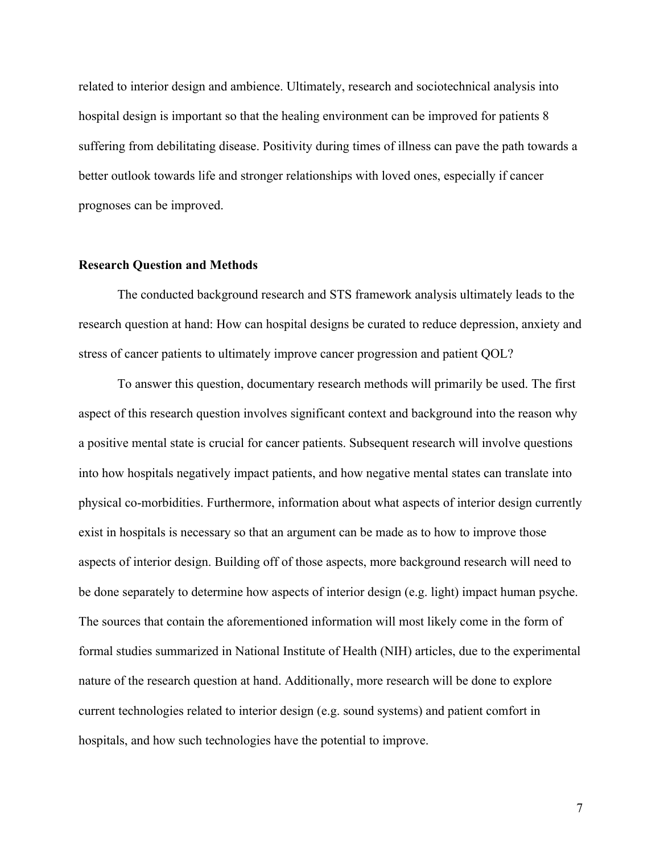related to interior design and ambience. Ultimately, research and sociotechnical analysis into hospital design is important so that the healing environment can be improved for patients 8 suffering from debilitating disease. Positivity during times of illness can pave the path towards a better outlook towards life and stronger relationships with loved ones, especially if cancer prognoses can be improved.

#### **Research Question and Methods**

The conducted background research and STS framework analysis ultimately leads to the research question at hand: How can hospital designs be curated to reduce depression, anxiety and stress of cancer patients to ultimately improve cancer progression and patient QOL?

To answer this question, documentary research methods will primarily be used. The first aspect of this research question involves significant context and background into the reason why a positive mental state is crucial for cancer patients. Subsequent research will involve questions into how hospitals negatively impact patients, and how negative mental states can translate into physical co-morbidities. Furthermore, information about what aspects of interior design currently exist in hospitals is necessary so that an argument can be made as to how to improve those aspects of interior design. Building off of those aspects, more background research will need to be done separately to determine how aspects of interior design (e.g. light) impact human psyche. The sources that contain the aforementioned information will most likely come in the form of formal studies summarized in National Institute of Health (NIH) articles, due to the experimental nature of the research question at hand. Additionally, more research will be done to explore current technologies related to interior design (e.g. sound systems) and patient comfort in hospitals, and how such technologies have the potential to improve.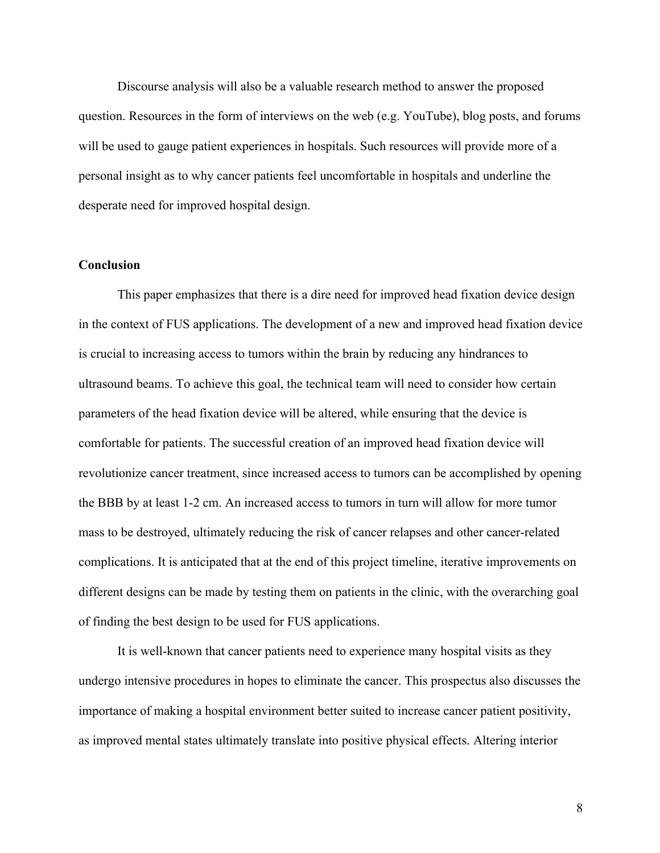Discourse analysis will also be a valuable research method to answer the proposed question. Resources in the form of interviews on the web (e.g. YouTube), blog posts, and forums will be used to gauge patient experiences in hospitals. Such resources will provide more of a personal insight as to why cancer patients feel uncomfortable in hospitals and underline the desperate need for improved hospital design.

# **Conclusion**

This paper emphasizes that there is a dire need for improved head fixation device design in the context of FUS applications. The development of a new and improved head fixation device is crucial to increasing access to tumors within the brain by reducing any hindrances to ultrasound beams. To achieve this goal, the technical team will need to consider how certain parameters of the head fixation device will be altered, while ensuring that the device is comfortable for patients. The successful creation of an improved head fixation device will revolutionize cancer treatment, since increased access to tumors can be accomplished by opening the BBB by at least 1-2 cm. An increased access to tumors in turn will allow for more tumor mass to be destroyed, ultimately reducing the risk of cancer relapses and other cancer-related complications. It is anticipated that at the end of this project timeline, iterative improvements on different designs can be made by testing them on patients in the clinic, with the overarching goal of finding the best design to be used for FUS applications.

It is well-known that cancer patients need to experience many hospital visits as they undergo intensive procedures in hopes to eliminate the cancer. This prospectus also discusses the importance of making a hospital environment better suited to increase cancer patient positivity, as improved mental states ultimately translate into positive physical effects. Altering interior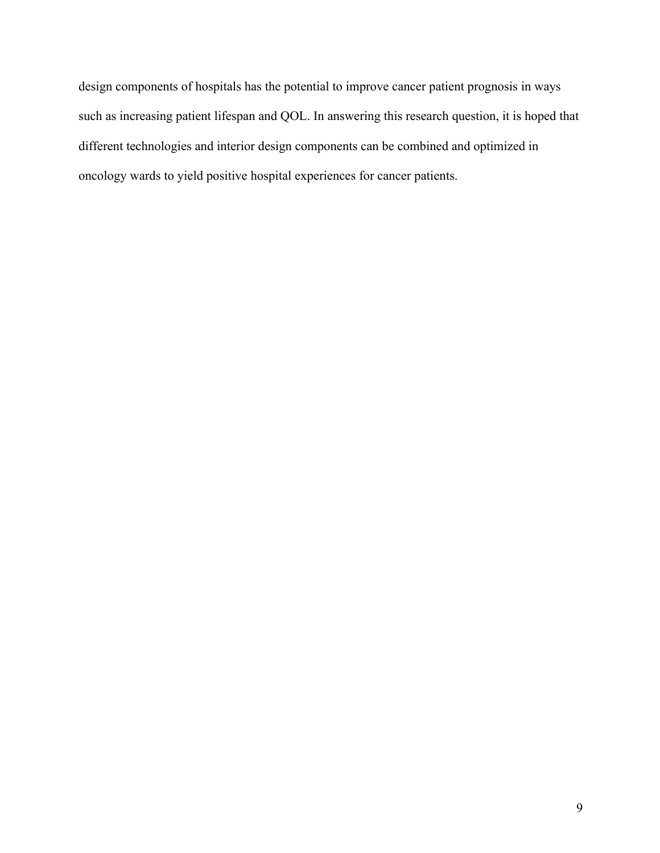design components of hospitals has the potential to improve cancer patient prognosis in ways such as increasing patient lifespan and QOL. In answering this research question, it is hoped that different technologies and interior design components can be combined and optimized in oncology wards to yield positive hospital experiences for cancer patients.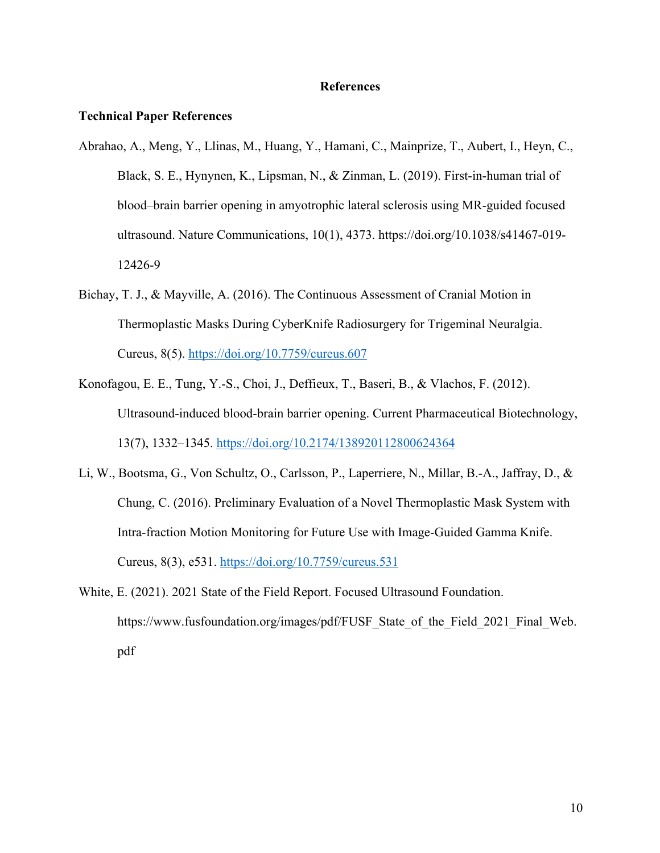## **References**

### **Technical Paper References**

- Abrahao, A., Meng, Y., Llinas, M., Huang, Y., Hamani, C., Mainprize, T., Aubert, I., Heyn, C., Black, S. E., Hynynen, K., Lipsman, N., & Zinman, L. (2019). First-in-human trial of blood–brain barrier opening in amyotrophic lateral sclerosis using MR-guided focused ultrasound. Nature Communications, 10(1), 4373. https://doi.org/10.1038/s41467-019- 12426-9
- Bichay, T. J., & Mayville, A. (2016). The Continuous Assessment of Cranial Motion in Thermoplastic Masks During CyberKnife Radiosurgery for Trigeminal Neuralgia. Cureus, 8(5). https://doi.org/10.7759/cureus.607
- Konofagou, E. E., Tung, Y.-S., Choi, J., Deffieux, T., Baseri, B., & Vlachos, F. (2012). Ultrasound-induced blood-brain barrier opening. Current Pharmaceutical Biotechnology, 13(7), 1332–1345. https://doi.org/10.2174/138920112800624364
- Li, W., Bootsma, G., Von Schultz, O., Carlsson, P., Laperriere, N., Millar, B.-A., Jaffray, D., & Chung, C. (2016). Preliminary Evaluation of a Novel Thermoplastic Mask System with Intra-fraction Motion Monitoring for Future Use with Image-Guided Gamma Knife. Cureus, 8(3), e531. https://doi.org/10.7759/cureus.531
- White, E. (2021). 2021 State of the Field Report. Focused Ultrasound Foundation. https://www.fusfoundation.org/images/pdf/FUSF\_State\_of\_the\_Field\_2021\_Final\_Web. pdf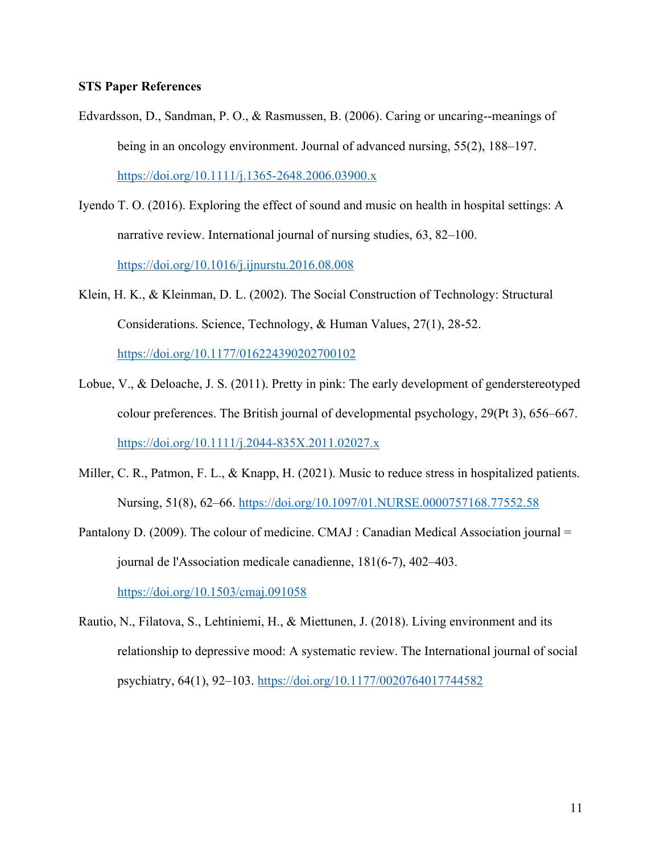## **STS Paper References**

- Edvardsson, D., Sandman, P. O., & Rasmussen, B. (2006). Caring or uncaring--meanings of being in an oncology environment. Journal of advanced nursing, 55(2), 188–197. https://doi.org/10.1111/j.1365-2648.2006.03900.x
- Iyendo T. O. (2016). Exploring the effect of sound and music on health in hospital settings: A narrative review. International journal of nursing studies, 63, 82–100. https://doi.org/10.1016/j.ijnurstu.2016.08.008
- Klein, H. K., & Kleinman, D. L. (2002). The Social Construction of Technology: Structural Considerations. Science, Technology, & Human Values, 27(1), 28-52. https://doi.org/10.1177/016224390202700102
- Lobue, V., & Deloache, J. S. (2011). Pretty in pink: The early development of genderstereotyped colour preferences. The British journal of developmental psychology, 29(Pt 3), 656–667. https://doi.org/10.1111/j.2044-835X.2011.02027.x
- Miller, C. R., Patmon, F. L., & Knapp, H. (2021). Music to reduce stress in hospitalized patients. Nursing, 51(8), 62–66. https://doi.org/10.1097/01.NURSE.0000757168.77552.58
- Pantalony D. (2009). The colour of medicine. CMAJ : Canadian Medical Association journal = journal de l'Association medicale canadienne, 181(6-7), 402–403. https://doi.org/10.1503/cmaj.091058
- Rautio, N., Filatova, S., Lehtiniemi, H., & Miettunen, J. (2018). Living environment and its relationship to depressive mood: A systematic review. The International journal of social psychiatry, 64(1), 92–103. https://doi.org/10.1177/0020764017744582